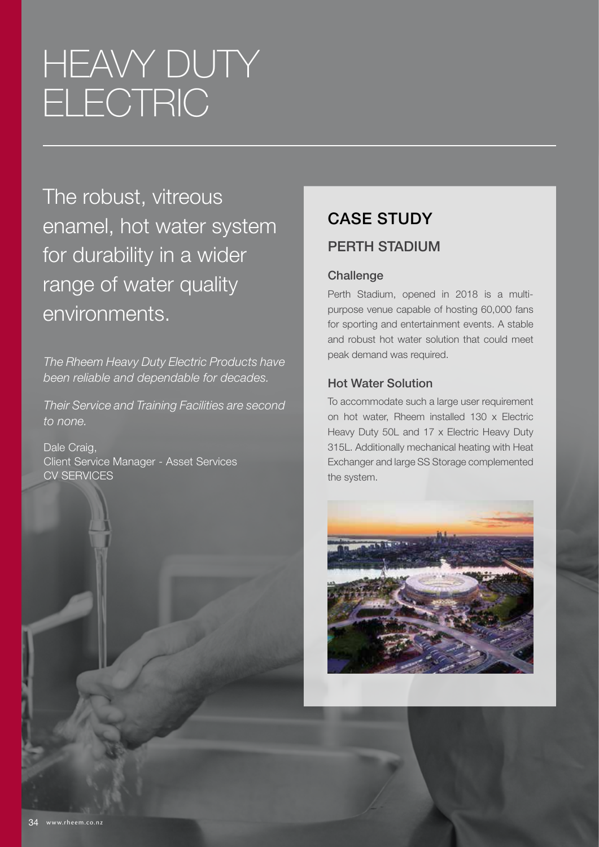# **HEAVY DUTY** ELECTRIC

The robust, vitreous enamel, hot water system for durability in a wider range of water quality environments.

*The Rheem Heavy Duty Electric Products have been reliable and dependable for decades.*

*Their Service and Training Facilities are second to none.* 

Dale Craig, Client Service Manager - Asset Services CV SERVICES

### CASE STUDY PERTH STADIUM

#### **Challenge**

Perth Stadium, opened in 2018 is a multipurpose venue capable of hosting 60,000 fans for sporting and entertainment events. A stable and robust hot water solution that could meet peak demand was required.

#### Hot Water Solution

To accommodate such a large user requirement on hot water, Rheem installed 130 x Electric Heavy Duty 50L and 17 x Electric Heavy Duty 315L. Additionally mechanical heating with Heat Exchanger and large SS Storage complemented the system.

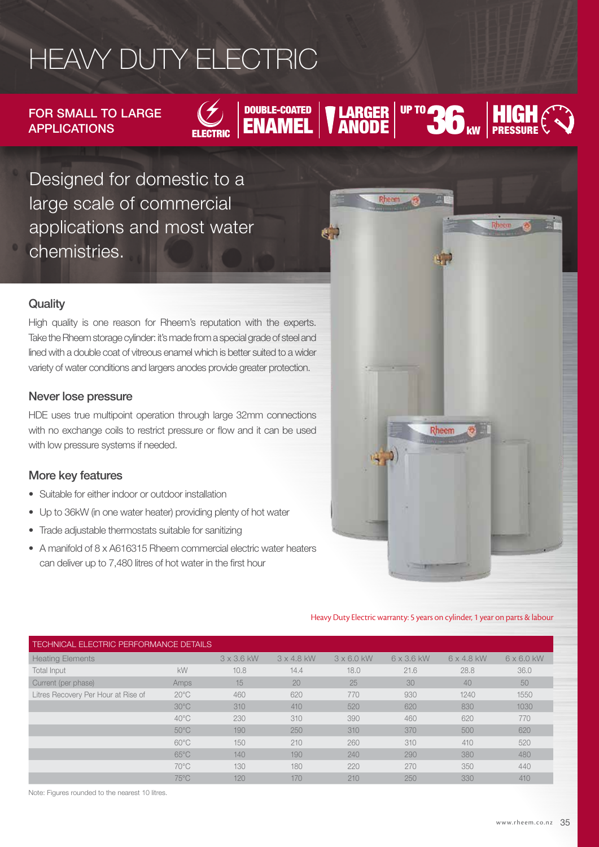## HEAVY DUTY ELECTRIC

FOR SMALL TO LARGE APPLICATIONS



### REDUCATIONS ELECTRIC **ENAMEL TRANDE** ANODE  $\bigcup_{\mathsf{k}\mathsf{w}}$

UP TO

Designed for domestic to a large scale of commercial applications and most water chemistries.

#### **Quality**

High quality is one reason for Rheem's reputation with the experts. Take the Rheem storage cylinder: it's made from a special grade of steel and lined with a double coat of vitreous enamel which is better suited to a wider variety of water conditions and largers anodes provide greater protection.

#### Never lose pressure

HDE uses true multipoint operation through large 32mm connections with no exchange coils to restrict pressure or flow and it can be used with low pressure systems if needed.

#### More key features

- Suitable for either indoor or outdoor installation
- Up to 36kW (in one water heater) providing plenty of hot water
- Trade adjustable thermostats suitable for sanitizing
- A manifold of 8 x A616315 Rheem commercial electric water heaters can deliver up to 7,480 litres of hot water in the first hour



**HIGH** PRESSURE

Heavy Duty Electric warranty: 5 years on cylinder, 1 year on parts & labour

| <b>TECHNICAL ELECTRIC PERFORMANCE DETAILS</b> |                |                   |                   |                   |                   |                   |                   |  |
|-----------------------------------------------|----------------|-------------------|-------------------|-------------------|-------------------|-------------------|-------------------|--|
| <b>Heating Elements</b>                       |                | $3 \times 3.6$ kW | $3 \times 4.8$ kW | $3 \times 6.0$ kW | $6 \times 3.6$ kW | $6 \times 4.8$ kW | $6 \times 6.0$ kW |  |
| Total Input                                   | <b>kW</b>      | 10.8              | 14.4              | 18.0              | 21.6              | 28.8              | 36.0              |  |
| Current (per phase)                           | Amps           | 15                | 20                | 25                | 30                | 40                | 50                |  |
| Litres Recovery Per Hour at Rise of           | $20^{\circ}$ C | 460               | 620               | 770               | 930               | 1240              | 1550              |  |
|                                               | $30^{\circ}$ C | 310               | 410               | 520               | 620               | 830               | 1030              |  |
|                                               | $40^{\circ}$ C | 230               | 310               | 390               | 460               | 620               | 770               |  |
|                                               | $50^{\circ}$ C | 190               | 250               | 310               | 370               | 500               | 620               |  |
|                                               | $60^{\circ}$ C | 150               | 210               | 260               | 310               | 410               | 520               |  |
|                                               | $65^{\circ}$ C | 140               | 190               | 240               | 290               | 380               | 480               |  |
|                                               | $70^{\circ}$ C | 130               | 180               | 220               | 270               | 350               | 440               |  |
|                                               | $75^{\circ}$ C | 120               | 170               | 210               | 250               | 330               | 410               |  |

Note: Figures rounded to the nearest 10 litres.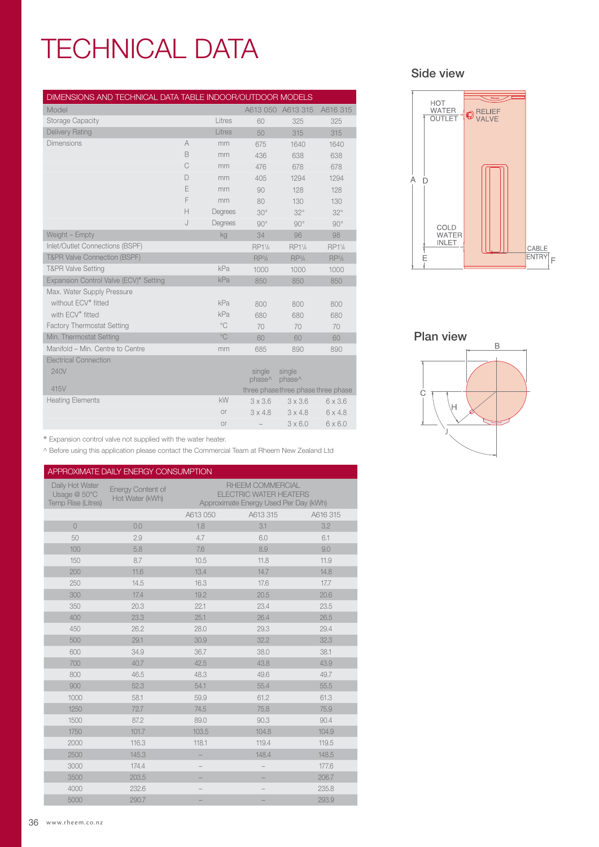## TECHNICAL DATA

| DIMENSIONS AND TECHNICAL DATA TABLE INDOOR/OUTDOOR MODELS |                |              |                              |                                     |                    |
|-----------------------------------------------------------|----------------|--------------|------------------------------|-------------------------------------|--------------------|
| Model                                                     |                |              |                              | A613 050 A613 315                   | A616 315           |
| <b>Storage Capacity</b>                                   |                | Litres       | 60                           | 325                                 | 325                |
| <b>Delivery Rating</b>                                    |                | Litres       | 50                           | 315                                 | 315                |
| <b>Dimensions</b>                                         | $\overline{A}$ | mm           | 675                          | 1640                                | 1640               |
|                                                           | B              | mm           | 436                          | 638                                 | 638                |
|                                                           | C              | mm           | 476                          | 678                                 | 678                |
|                                                           | D              | mm           | 405                          | 1294                                | 1294               |
|                                                           | E              | mm           | 90                           | 128                                 | 128                |
|                                                           | F              | mm           | 80                           | 130                                 | 130                |
|                                                           | H              | Degrees      | $30^\circ$                   | $32^\circ$                          | $32^\circ$         |
|                                                           | J              | Degrees      | $90^\circ$                   | $90^\circ$                          | $90^\circ$         |
| Weight - Empty                                            |                | kg           | 34                           | 96                                  | 98                 |
| Inlet/Outlet Connections (BSPF)                           |                |              | RP11/4                       | RP11/4                              | RP11/4             |
| <b>T&amp;PR Valve Connection (BSPF)</b>                   |                |              | RP <sup>3</sup> /4           | RP <sup>3</sup> /4                  | RP <sup>3</sup> /4 |
| <b>T&amp;PR Valve Setting</b>                             |                | kPa          | 1000                         | 1000                                | 1000               |
| Expansion Control Valve (ECV)* Setting                    |                | kPa          | 850                          | 850                                 | 850                |
| Max. Water Supply Pressure                                |                |              |                              |                                     |                    |
| without ECV* fitted                                       |                | kPa          | 800                          | 800                                 | 800                |
| with ECV* fitted                                          |                | kPa          | 680                          | 680                                 | 680                |
| <b>Factory Thermostat Setting</b>                         |                | $^{\circ}$ C | 70                           | 70                                  | 70                 |
| Min. Thermostat Setting                                   |                | $^{\circ}$ C | 60                           | 60                                  | 60                 |
| Manifold - Min. Centre to Centre                          |                | mm           | 685                          | 890                                 | 890                |
| <b>Electrical Connection</b>                              |                |              |                              |                                     |                    |
| 240V                                                      |                |              | single<br>phase <sup>^</sup> | single<br>phase <sup>^</sup>        |                    |
| 415V                                                      |                |              |                              | three phase three phase three phase |                    |
| <b>Heating Elements</b>                                   |                | kW           | $3 \times 3.6$               | $3 \times 3.6$                      | $6 \times 3.6$     |
|                                                           |                | <b>or</b>    | $3 \times 4.8$               | $3 \times 4.8$                      | $6 \times 4.8$     |
|                                                           |                | <b>or</b>    |                              | $3 \times 6.0$                      | $6 \times 6.0$     |

 $^{\star}$  Expansion control valve not supplied with the water heater.

^ Before using this application please contact the Commercial Team at Rheem New Zealand Ltd

| APPROXIMATE DAILY ENERGY CONSUMPTION                         |                                             |          |                                                                                                   |          |  |  |  |  |
|--------------------------------------------------------------|---------------------------------------------|----------|---------------------------------------------------------------------------------------------------|----------|--|--|--|--|
| Daily Hot Water<br>Usage @ 50°C<br><b>Temp Rise (Litres)</b> | <b>Energy Content of</b><br>Hot Water (kWh) |          | <b>RHEEM COMMERCIAL</b><br><b>ELECTRIC WATER HEATERS</b><br>Approximate Energy Used Per Day (kWh) |          |  |  |  |  |
|                                                              |                                             | A613 050 | A613 315                                                                                          | A616 315 |  |  |  |  |
| $\overline{0}$                                               | 0.0                                         | 1.8      | 3.1                                                                                               | 3.2      |  |  |  |  |
| 50                                                           | 2.9                                         | 4.7      | 6.0                                                                                               | 6.1      |  |  |  |  |
| 100                                                          | 5.8                                         | 7.6      | 8.9                                                                                               | 9.0      |  |  |  |  |
| 150                                                          | 8.7                                         | 10.5     | 11.8                                                                                              | 11.9     |  |  |  |  |
| 200                                                          | 11.6                                        | 13.4     | 14.7                                                                                              | 14.8     |  |  |  |  |
| 250                                                          | 14.5                                        | 16.3     | 17.6                                                                                              | 17.7     |  |  |  |  |
| 300                                                          | 17.4                                        | 19.2     | 20.5                                                                                              | 20.6     |  |  |  |  |
| 350                                                          | 20.3                                        | 22.1     | 23.4                                                                                              | 23.5     |  |  |  |  |
| 400                                                          | 23.3                                        | 25.1     | 26.4                                                                                              | 26.5     |  |  |  |  |
| 450                                                          | 26.2                                        | 28.0     | 29.3                                                                                              | 29.4     |  |  |  |  |
| 500                                                          | 29.1                                        | 30.9     | 32.2                                                                                              | 32.3     |  |  |  |  |
| 600                                                          | 34.9                                        | 36.7     | 38.0                                                                                              | 38.1     |  |  |  |  |
| 700                                                          | 40.7                                        | 42.5     | 43.8                                                                                              | 43.9     |  |  |  |  |
| 800                                                          | 46.5                                        | 48.3     | 49.6                                                                                              | 49.7     |  |  |  |  |
| 900                                                          | 52.3                                        | 54.1     | 55.4                                                                                              | 55.5     |  |  |  |  |
| 1000                                                         | 58.1                                        | 59.9     | 61.2                                                                                              | 61.3     |  |  |  |  |
| 1250                                                         | 72.7                                        | 74.5     | 75.8                                                                                              | 75.9     |  |  |  |  |
| 1500                                                         | 87.2                                        | 89.0     | 90.3                                                                                              | 90.4     |  |  |  |  |
| 1750                                                         | 101.7                                       | 103.5    | 104.8                                                                                             | 104.9    |  |  |  |  |
| 2000                                                         | 116.3                                       | 118.1    | 119.4                                                                                             | 119.5    |  |  |  |  |
| 2500                                                         | 145.3                                       |          | 148.4                                                                                             | 148.5    |  |  |  |  |
| 3000                                                         | 174.4                                       |          |                                                                                                   | 177.6    |  |  |  |  |
| 3500                                                         | 203.5                                       |          |                                                                                                   | 206.7    |  |  |  |  |
| 4000                                                         | 232.6                                       |          |                                                                                                   | 235.8    |  |  |  |  |
| 5000                                                         | 290.7                                       |          |                                                                                                   | 293.9    |  |  |  |  |

#### Side view